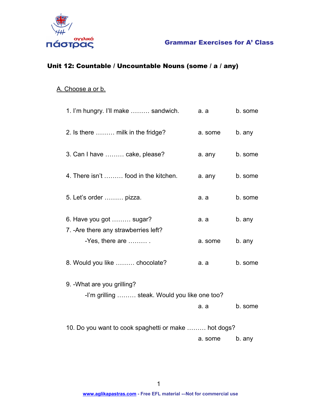

## Grammar Exercises for A' Class

## Unit 12: Countable / Uncountable Nouns (some / a / any)

#### A. Choose a or b.

| 1. I'm hungry. I'll make  sandwich.                              | a. a    | b. some |
|------------------------------------------------------------------|---------|---------|
| 2. Is there  milk in the fridge?                                 | a. some | b. any  |
| 3. Can I have  cake, please?                                     | a. any  | b. some |
| 4. There isn't  food in the kitchen.                             | a. any  | b. some |
| 5. Let's order  pizza.                                           | a. a    | b. some |
| 6. Have you got  sugar?<br>7. - Are there any strawberries left? | a. a    | b. any  |
| -Yes, there are $\dots\dots\dots$ .                              | a. some | b. any  |
| 8. Would you like  chocolate?                                    | a. a    | b. some |
| 9. - What are you grilling?                                      |         |         |
| -I'm grilling  steak. Would you like one too?                    |         |         |
|                                                                  | a. a    | b. some |
| 10. Do you want to cook spaghetti or make  hot dogs?             |         |         |
|                                                                  | a. some | b. any  |